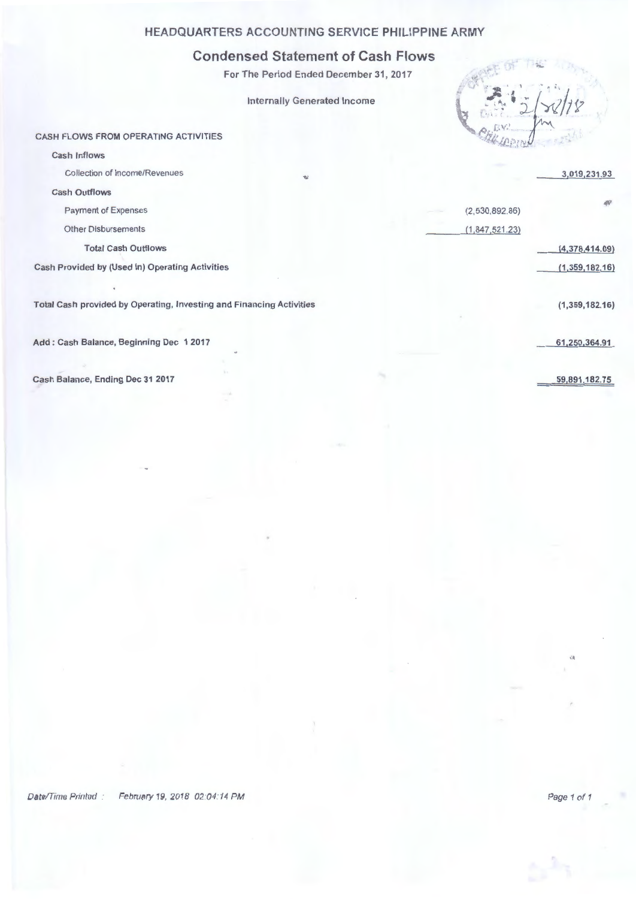## **HEADQUARTERS ACCOUNTING SERVICE PHILIPPINE ARMY**

## **Condensed Statement of Cash Flows**

For The Period Ended December 31, 2017

Internally Generated Income



(2,530,892.86)  $(1, 847, 521.23)$ 

CASH FLOWS FROM OPERATING ACTIVITIES

Cash Inflows

Collection of Income/Revenues

Cash Outflows

Payment of Expenses

Other Disbursements

Total Cash Outflows

Cash Provided by (Used in) Operating Activities

Total Cash provided by Operating, Investing and Financing Activities

Add : Cash Balance, Beginning Dec 1 2017

Cash Balance, Ending Dec 31 2017

3,019,231.93

(1,359,182.16)

(4,378,414.09) (1,359,182.16)

a,

61 ,250,364.91

59,891,182.75